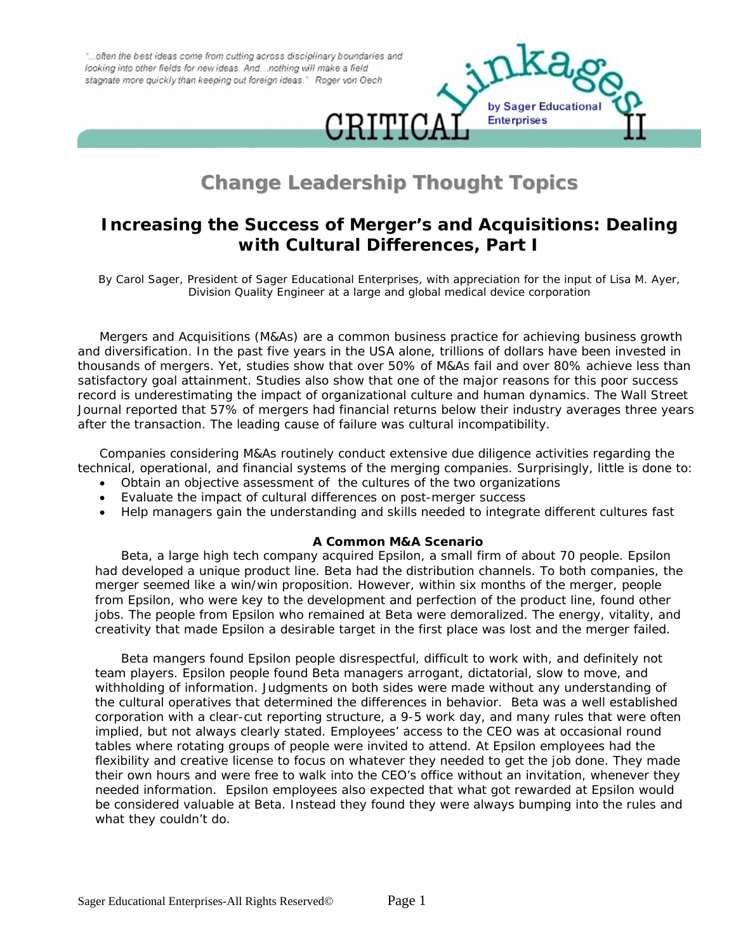"...often the best ideas come from cutting across disciplinary boundaries and looking into other fields for new ideas. And ... nothing will make a field stagnate more quickly than keeping out foreign ideas." Roger von Oech



# **Change Leadership Thought Topics**

# **Increasing the Success of Merger's and Acquisitions: Dealing with Cultural Differences, Part I**

*By Carol Sager, President of Sager Educational Enterprises, with appreciation for the input of Lisa M. Ayer, Division Quality Engineer at a large and global medical device corporation* 

Mergers and Acquisitions (M&As) are a common business practice for achieving business growth and diversification. In the past five years in the USA alone, trillions of dollars have been invested in thousands of mergers. Yet, studies show that over 50% of M&As fail and over 80% achieve less than satisfactory goal attainment. Studies also show that one of the major reasons for this poor success record is underestimating the impact of organizational culture and human dynamics. The Wall Street Journal reported that 57% of mergers had financial returns below their industry averages three years after the transaction. The leading cause of failure was cultural incompatibility.

Companies considering M&As routinely conduct extensive due diligence activities regarding the technical, operational, and financial systems of the merging companies. Surprisingly, little is done to:

- Obtain an objective assessment of the cultures of the two organizations
- Evaluate the impact of cultural differences on post-merger success
- Help managers gain the understanding and skills needed to integrate different cultures fast

#### **A Common M&A Scenario**

Beta, a large high tech company acquired Epsilon, a small firm of about 70 people. Epsilon had developed a unique product line. Beta had the distribution channels. To both companies, the merger seemed like a win/win proposition. However, within six months of the merger, people from Epsilon, who were key to the development and perfection of the product line, found other jobs. The people from Epsilon who remained at Beta were demoralized. The energy, vitality, and creativity that made Epsilon a desirable target in the first place was lost and the merger failed.

Beta mangers found Epsilon people disrespectful, difficult to work with, and definitely not team players. Epsilon people found Beta managers arrogant, dictatorial, slow to move, and withholding of information. Judgments on both sides were made without any understanding of the cultural operatives that determined the differences in behavior. Beta was a well established corporation with a clear-cut reporting structure, a 9-5 work day, and many rules that were often implied, but not always clearly stated. Employees' access to the CEO was at occasional round tables where rotating groups of people were invited to attend. At Epsilon employees had the flexibility and creative license to focus on whatever they needed to get the job done. They made their own hours and were free to walk into the CEO's office without an invitation, whenever they needed information. Epsilon employees also expected that what got rewarded at Epsilon would be considered valuable at Beta. Instead they found they were always bumping into the rules and what they couldn't do.